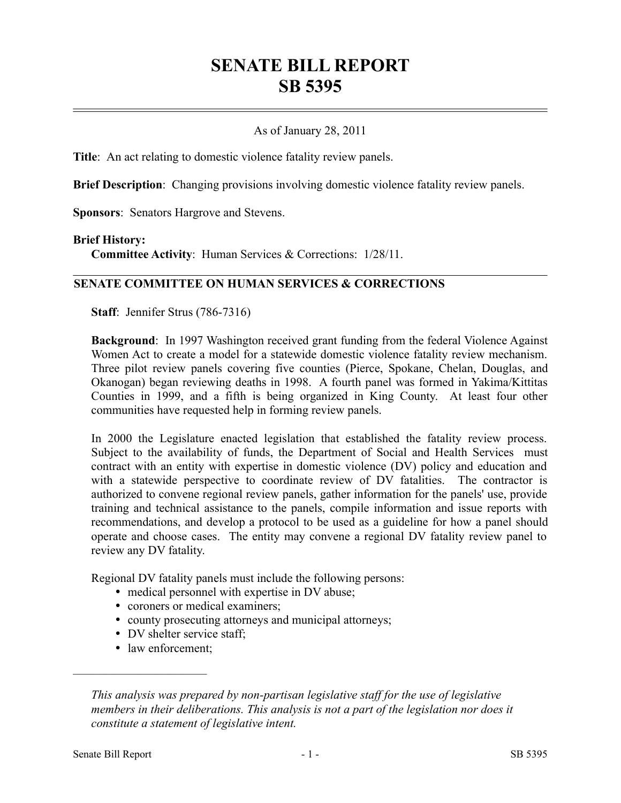# **SENATE BILL REPORT SB 5395**

#### As of January 28, 2011

**Title**: An act relating to domestic violence fatality review panels.

**Brief Description**: Changing provisions involving domestic violence fatality review panels.

**Sponsors**: Senators Hargrove and Stevens.

#### **Brief History:**

**Committee Activity**: Human Services & Corrections: 1/28/11.

#### **SENATE COMMITTEE ON HUMAN SERVICES & CORRECTIONS**

**Staff**: Jennifer Strus (786-7316)

**Background**: In 1997 Washington received grant funding from the federal Violence Against Women Act to create a model for a statewide domestic violence fatality review mechanism. Three pilot review panels covering five counties (Pierce, Spokane, Chelan, Douglas, and Okanogan) began reviewing deaths in 1998. A fourth panel was formed in Yakima/Kittitas Counties in 1999, and a fifth is being organized in King County. At least four other communities have requested help in forming review panels.

In 2000 the Legislature enacted legislation that established the fatality review process. Subject to the availability of funds, the Department of Social and Health Services must contract with an entity with expertise in domestic violence (DV) policy and education and with a statewide perspective to coordinate review of DV fatalities. The contractor is authorized to convene regional review panels, gather information for the panels' use, provide training and technical assistance to the panels, compile information and issue reports with recommendations, and develop a protocol to be used as a guideline for how a panel should operate and choose cases. The entity may convene a regional DV fatality review panel to review any DV fatality.

Regional DV fatality panels must include the following persons:

- medical personnel with expertise in DV abuse;
- coroners or medical examiners;
- county prosecuting attorneys and municipal attorneys;
- DV shelter service staff;
- law enforcement;

––––––––––––––––––––––

*This analysis was prepared by non-partisan legislative staff for the use of legislative members in their deliberations. This analysis is not a part of the legislation nor does it constitute a statement of legislative intent.*